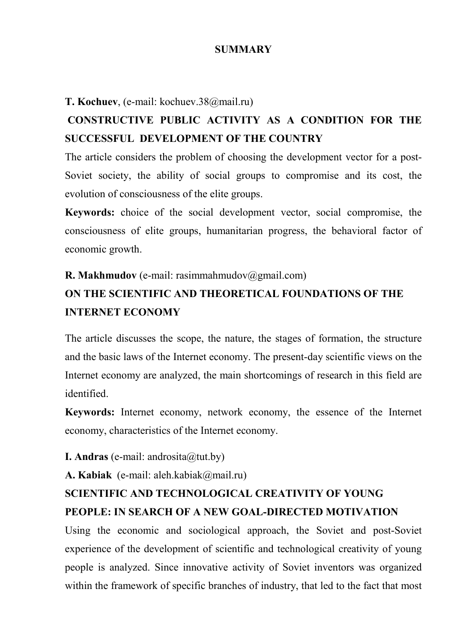#### **SUMMARY**

#### **T. Kochuev**, (e-mail: kochuev.38@mail.ru)

## **CONSTRUCTIVE PUBLIC ACTIVITY AS A CONDITION FOR THE SUCCESSFUL DEVELOPMENT OF THE COUNTRY**

The article considers the problem of choosing the development vector for a post-Soviet society, the ability of social groups to compromise and its cost, the evolution of consciousness of the elite groups.

**Keywords:** choice of the social development vector, social compromise, the consciousness of elite groups, humanitarian progress, the behavioral factor of economic growth.

#### **R. Makhmudov** (e-mail: rasimmahmudov@gmail.com)

## **ON THE SCIENTIFIC AND THEORETICAL FOUNDATIONS OF THE INTERNET ECONOMY**

The article discusses the scope, the nature, the stages of formation, the structure and the basic laws of the Internet economy. The present-day scientific views on the Internet economy are analyzed, the main shortcomings of research in this field are identified.

**Keywords:** Internet economy, network economy, the essence of the Internet economy, characteristics of the Internet economy.

#### **I. Andras** (e-mail: androsita@tut.by)

**A. Kabiak** (e-mail: aleh.kabiak@mail.ru)

## **SCIENTIFIC AND TECHNOLOGICAL CREATIVITY OF YOUNG PEOPLE: IN SEARCH OF A NEW GOAL-DIRECTED MOTIVATION**

Using the economic and sociological approach, the Soviet and post-Soviet experience of the development of scientific and technological creativity of young people is analyzed. Since innovative activity of Soviet inventors was organized within the framework of specific branches of industry, that led to the fact that most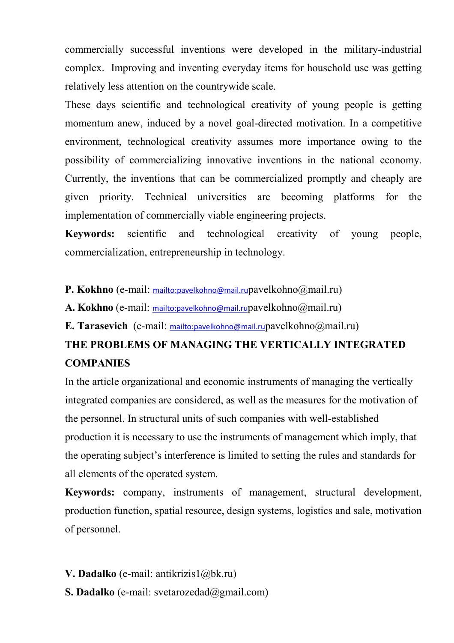commercially successful inventions were developed in the military-industrial complex. Improving and inventing everyday items for household use was getting relatively less attention on the countrywide scale.

These days scientific and technological creativity of young people is getting momentum anew, induced by a novel goal-directed motivation. In a competitive environment, technological creativity assumes more importance owing to the possibility of commercializing innovative inventions in the national economy. Currently, the inventions that can be commercialized promptly and cheaply are given priority. Technical universities are becoming platforms for the implementation of commercially viable engineering projects.

**Keywords:** scientific and technological creativity of young people, commercialization, entrepreneurship in technology.

**P. Kokhno** (e-mail: mailto:pavelkohno@mail.rupavelkohno@mail.ru)

**A. Kokhno** (e-mail: mailto:pavelkohno@mail.rupavelkohno@mail.ru)

**E. Tarasevich** (e-mail: mailto:pavelkohno@mail.rupavelkohno@mail.ru)

## **THE PROBLEMS OF MANAGING THE VERTICALLY INTEGRATED COMPANIES**

In the article organizational and economic instruments of managing the vertically integrated companies are considered, as well as the measures for the motivation of the personnel. In structural units of such companies with well-established production it is necessary to use the instruments of management which imply, that the operating subject's interference is limited to setting the rules and standards for all elements of the operated system.

**Keywords:** company, instruments of management, structural development, production function, spatial resource, design systems, logistics and sale, motivation of personnel.

**V. Dadalko** (е-mail: antikrizis1@bk.ru) **S. Dadalko** (е-mail: svetarozedad@gmail.com)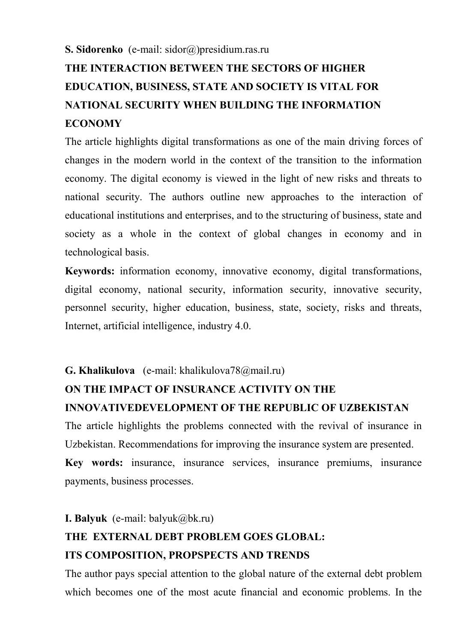#### **S. Sidorenko** (е-mail: sidor@)presidium.ras.ru

# **THE INTERACTION BETWEEN THE SECTORS OF HIGHER EDUCATION, BUSINESS, STATE AND SOCIETY IS VITAL FOR NATIONAL SECURITY WHEN BUILDING THE INFORMATION ECONOMY**

The article highlights digital transformations as one of the main driving forces of changes in the modern world in the context of the transition to the information economy. The digital economy is viewed in the light of new risks and threats to national security. The authors outline new approaches to the interaction of educational institutions and enterprises, and to the structuring of business, state and society as a whole in the context of global changes in economy and in technological basis.

**Keywords:** information economy, innovative economy, digital transformations, digital economy, national security, information security, innovative security, personnel security, higher education, business, state, society, risks and threats, Internet, artificial intelligence, industry 4.0.

### **G. Khalikulova** (е-mail: khalikulova78@mail.ru)

### **ON THE IMPACT OF INSURANCE ACTIVITY ON THE**

#### **INNOVATIVEDEVELOPMENT OF THE REPUBLIC OF UZBEKISTAN**

The article highlights the problems connected with the revival of insurance in Uzbekistan. Recommendations for improving the insurance system are presented. **Key words:** insurance, insurance services, insurance premiums, insurance payments, business processes.

#### **I. Balyuk** (e-mail: balyuk@bk.ru)

# **THE EXTERNAL DEBT PROBLEM GOES GLOBAL: ITS COMPOSITION, PROPSPECTS AND TRENDS**

The author pays special attention to the global nature of the external debt problem which becomes one of the most acute financial and economic problems. In the